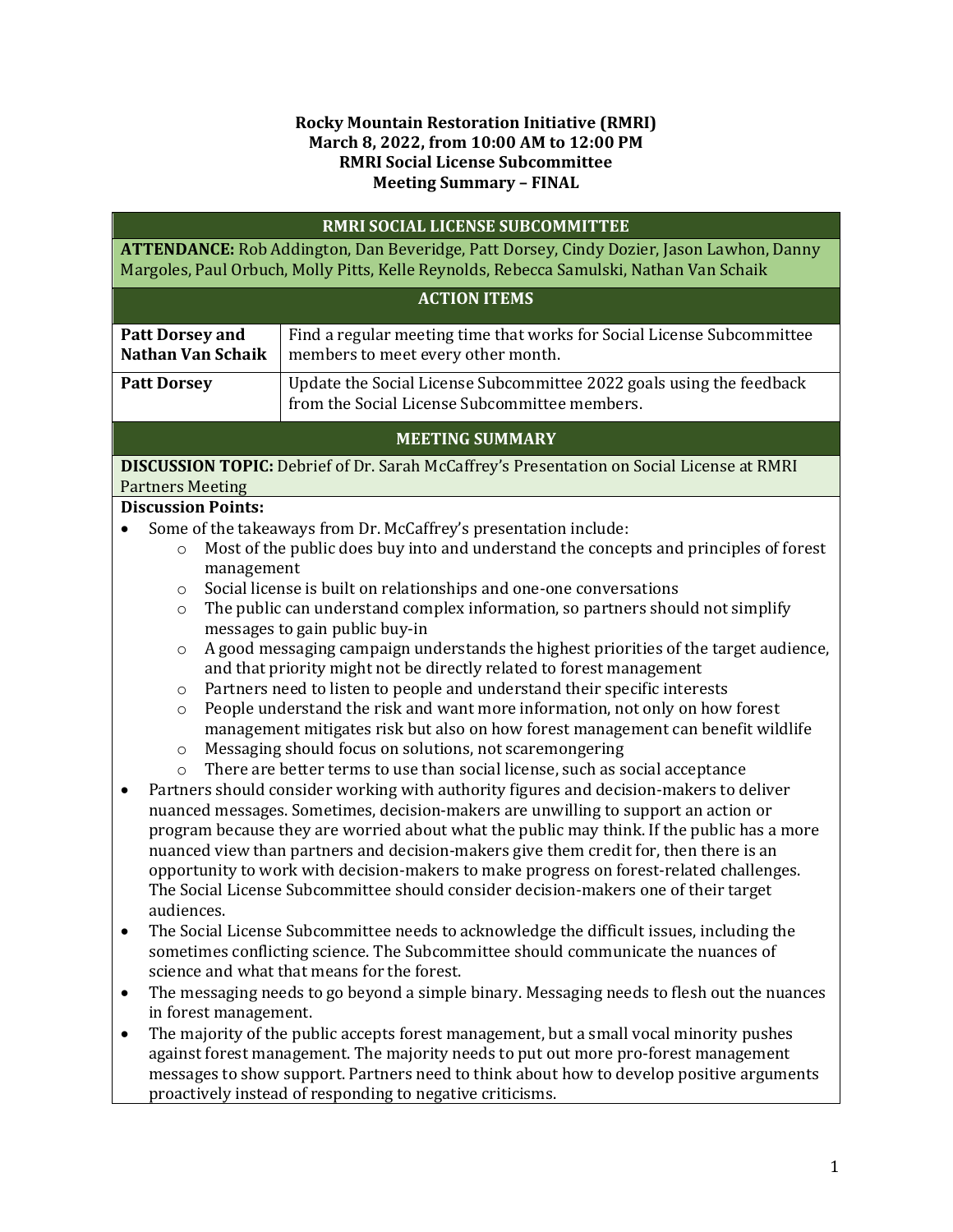#### **Rocky Mountain Restoration Initiative (RMRI) March 8, 2022, from 10:00 AM to 12:00 PM RMRI Social License Subcommittee Meeting Summary – FINAL**

| RMRI SOCIAL LICENSE SUBCOMMITTEE                                                                                                                                                                                                                                                                                                             |                                                                                                                                                                                                                                                                                                                                                                                                                                                                                                                                                                                                                                       |
|----------------------------------------------------------------------------------------------------------------------------------------------------------------------------------------------------------------------------------------------------------------------------------------------------------------------------------------------|---------------------------------------------------------------------------------------------------------------------------------------------------------------------------------------------------------------------------------------------------------------------------------------------------------------------------------------------------------------------------------------------------------------------------------------------------------------------------------------------------------------------------------------------------------------------------------------------------------------------------------------|
| ATTENDANCE: Rob Addington, Dan Beveridge, Patt Dorsey, Cindy Dozier, Jason Lawhon, Danny<br>Margoles, Paul Orbuch, Molly Pitts, Kelle Reynolds, Rebecca Samulski, Nathan Van Schaik                                                                                                                                                          |                                                                                                                                                                                                                                                                                                                                                                                                                                                                                                                                                                                                                                       |
| <b>ACTION ITEMS</b>                                                                                                                                                                                                                                                                                                                          |                                                                                                                                                                                                                                                                                                                                                                                                                                                                                                                                                                                                                                       |
| <b>Patt Dorsey and</b><br><b>Nathan Van Schaik</b>                                                                                                                                                                                                                                                                                           | Find a regular meeting time that works for Social License Subcommittee<br>members to meet every other month.                                                                                                                                                                                                                                                                                                                                                                                                                                                                                                                          |
| <b>Patt Dorsey</b>                                                                                                                                                                                                                                                                                                                           | Update the Social License Subcommittee 2022 goals using the feedback<br>from the Social License Subcommittee members.                                                                                                                                                                                                                                                                                                                                                                                                                                                                                                                 |
| <b>MEETING SUMMARY</b>                                                                                                                                                                                                                                                                                                                       |                                                                                                                                                                                                                                                                                                                                                                                                                                                                                                                                                                                                                                       |
| <b>Partners Meeting</b>                                                                                                                                                                                                                                                                                                                      | <b>DISCUSSION TOPIC:</b> Debrief of Dr. Sarah McCaffrey's Presentation on Social License at RMRI                                                                                                                                                                                                                                                                                                                                                                                                                                                                                                                                      |
| <b>Discussion Points:</b>                                                                                                                                                                                                                                                                                                                    |                                                                                                                                                                                                                                                                                                                                                                                                                                                                                                                                                                                                                                       |
| $\circ$<br>management<br>$\circ$                                                                                                                                                                                                                                                                                                             | Some of the takeaways from Dr. McCaffrey's presentation include:<br>Most of the public does buy into and understand the concepts and principles of forest<br>Social license is built on relationships and one-one conversations                                                                                                                                                                                                                                                                                                                                                                                                       |
| $\circ$                                                                                                                                                                                                                                                                                                                                      | The public can understand complex information, so partners should not simplify<br>messages to gain public buy-in                                                                                                                                                                                                                                                                                                                                                                                                                                                                                                                      |
| $\circ$<br>$\circ$                                                                                                                                                                                                                                                                                                                           | A good messaging campaign understands the highest priorities of the target audience,<br>and that priority might not be directly related to forest management<br>Partners need to listen to people and understand their specific interests                                                                                                                                                                                                                                                                                                                                                                                             |
| $\circ$<br>$\circ$                                                                                                                                                                                                                                                                                                                           | People understand the risk and want more information, not only on how forest<br>management mitigates risk but also on how forest management can benefit wildlife<br>Messaging should focus on solutions, not scaremongering                                                                                                                                                                                                                                                                                                                                                                                                           |
| $\circ$<br>$\bullet$<br>audiences.                                                                                                                                                                                                                                                                                                           | There are better terms to use than social license, such as social acceptance<br>Partners should consider working with authority figures and decision-makers to deliver<br>nuanced messages. Sometimes, decision-makers are unwilling to support an action or<br>program because they are worried about what the public may think. If the public has a more<br>nuanced view than partners and decision-makers give them credit for, then there is an<br>opportunity to work with decision-makers to make progress on forest-related challenges.<br>The Social License Subcommittee should consider decision-makers one of their target |
| The Social License Subcommittee needs to acknowledge the difficult issues, including the<br>sometimes conflicting science. The Subcommittee should communicate the nuances of<br>science and what that means for the forest.                                                                                                                 |                                                                                                                                                                                                                                                                                                                                                                                                                                                                                                                                                                                                                                       |
| The messaging needs to go beyond a simple binary. Messaging needs to flesh out the nuances<br>٠<br>in forest management.                                                                                                                                                                                                                     |                                                                                                                                                                                                                                                                                                                                                                                                                                                                                                                                                                                                                                       |
| The majority of the public accepts forest management, but a small vocal minority pushes<br>٠<br>against forest management. The majority needs to put out more pro-forest management<br>messages to show support. Partners need to think about how to develop positive arguments<br>proactively instead of responding to negative criticisms. |                                                                                                                                                                                                                                                                                                                                                                                                                                                                                                                                                                                                                                       |
|                                                                                                                                                                                                                                                                                                                                              |                                                                                                                                                                                                                                                                                                                                                                                                                                                                                                                                                                                                                                       |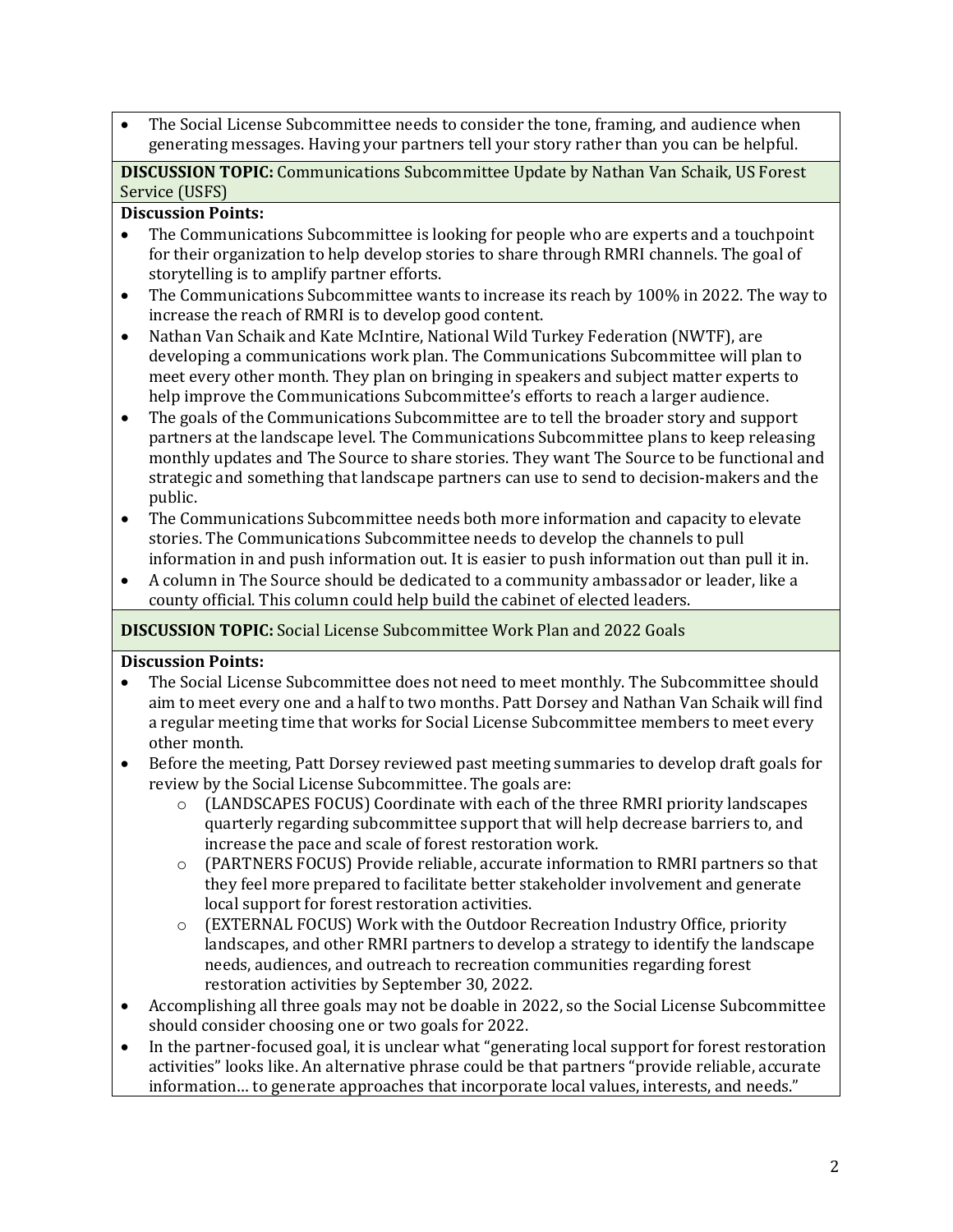• The Social License Subcommittee needs to consider the tone, framing, and audience when generating messages. Having your partners tell your story rather than you can be helpful.

**DISCUSSION TOPIC:** Communications Subcommittee Update by Nathan Van Schaik, US Forest Service (USFS)

### **Discussion Points:**

- The Communications Subcommittee is looking for people who are experts and a touchpoint for their organization to help develop stories to share through RMRI channels. The goal of storytelling is to amplify partner efforts.
- The Communications Subcommittee wants to increase its reach by 100% in 2022. The way to increase the reach of RMRI is to develop good content.
- Nathan Van Schaik and Kate McIntire, National Wild Turkey Federation (NWTF), are developing a communications work plan. The Communications Subcommittee will plan to meet every other month. They plan on bringing in speakers and subject matter experts to help improve the Communications Subcommittee's efforts to reach a larger audience.
- The goals of the Communications Subcommittee are to tell the broader story and support partners at the landscape level. The Communications Subcommittee plans to keep releasing monthly updates and The Source to share stories. They want The Source to be functional and strategic and something that landscape partners can use to send to decision-makers and the public.
- The Communications Subcommittee needs both more information and capacity to elevate stories. The Communications Subcommittee needs to develop the channels to pull information in and push information out. It is easier to push information out than pull it in.
- A column in The Source should be dedicated to a community ambassador or leader, like a county official. This column could help build the cabinet of elected leaders.

# **DISCUSSION TOPIC:** Social License Subcommittee Work Plan and 2022 Goals

#### **Discussion Points:**

- The Social License Subcommittee does not need to meet monthly. The Subcommittee should aim to meet every one and a half to two months. Patt Dorsey and Nathan Van Schaik will find a regular meeting time that works for Social License Subcommittee members to meet every other month.
- Before the meeting, Patt Dorsey reviewed past meeting summaries to develop draft goals for review by the Social License Subcommittee. The goals are:
	- $\circ$  (LANDSCAPES FOCUS) Coordinate with each of the three RMRI priority landscapes quarterly regarding subcommittee support that will help decrease barriers to, and increase the pace and scale of forest restoration work.
	- o (PARTNERS FOCUS) Provide reliable, accurate information to RMRI partners so that they feel more prepared to facilitate better stakeholder involvement and generate local support for forest restoration activities.
	- $\circ$  (EXTERNAL FOCUS) Work with the Outdoor Recreation Industry Office, priority landscapes, and other RMRI partners to develop a strategy to identify the landscape needs, audiences, and outreach to recreation communities regarding forest restoration activities by September 30, 2022.
- Accomplishing all three goals may not be doable in 2022, so the Social License Subcommittee should consider choosing one or two goals for 2022.
- In the partner-focused goal, it is unclear what "generating local support for forest restoration activities" looks like. An alternative phrase could be that partners "provide reliable, accurate information… to generate approaches that incorporate local values, interests, and needs."